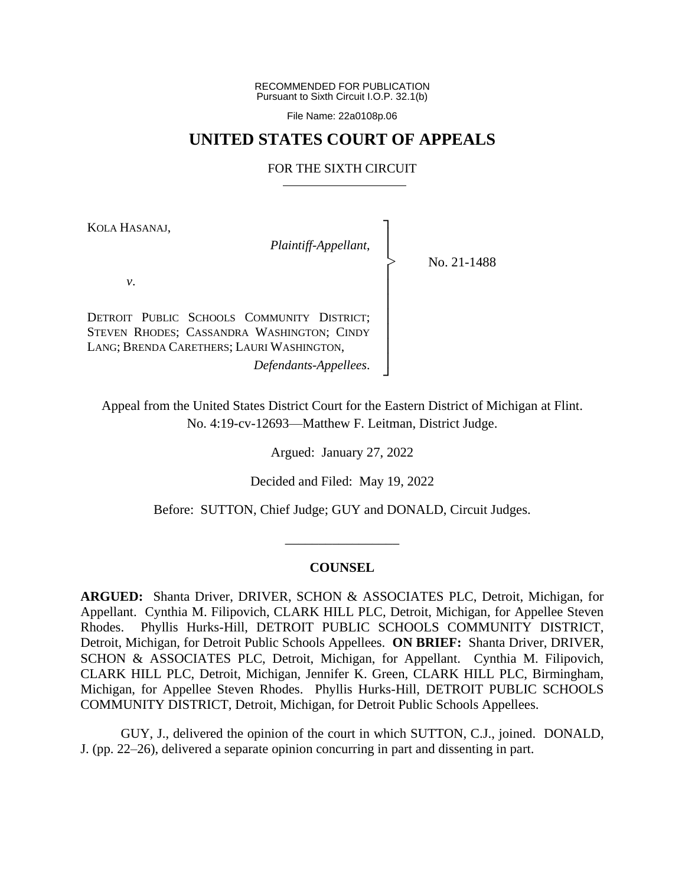RECOMMENDED FOR PUBLICATION Pursuant to Sixth Circuit I.O.P. 32.1(b)

File Name: 22a0108p.06

## **UNITED STATES COURT OF APPEALS**

## FOR THE SIXTH CIRCUIT

┐ │ │ │ │ │ │ │ │ │ ┘

|<br>|<br>|

KOLA HASANAJ,

*Plaintiff-Appellant*,

No. 21-1488

*v*.

DETROIT PUBLIC SCHOOLS COMMUNITY DISTRICT; STEVEN RHODES; CASSANDRA WASHINGTON; CINDY LANG; BRENDA CARETHERS; LAURI WASHINGTON, *Defendants-Appellees*.

Appeal from the United States District Court for the Eastern District of Michigan at Flint. No. 4:19-cv-12693—Matthew F. Leitman, District Judge.

Argued: January 27, 2022

Decided and Filed: May 19, 2022

Before: SUTTON, Chief Judge; GUY and DONALD, Circuit Judges.

## **COUNSEL**

\_\_\_\_\_\_\_\_\_\_\_\_\_\_\_\_\_

**ARGUED:** Shanta Driver, DRIVER, SCHON & ASSOCIATES PLC, Detroit, Michigan, for Appellant. Cynthia M. Filipovich, CLARK HILL PLC, Detroit, Michigan, for Appellee Steven Rhodes. Phyllis Hurks-Hill, DETROIT PUBLIC SCHOOLS COMMUNITY DISTRICT, Detroit, Michigan, for Detroit Public Schools Appellees. **ON BRIEF:** Shanta Driver, DRIVER, SCHON & ASSOCIATES PLC, Detroit, Michigan, for Appellant. Cynthia M. Filipovich, CLARK HILL PLC, Detroit, Michigan, Jennifer K. Green, CLARK HILL PLC, Birmingham, Michigan, for Appellee Steven Rhodes. Phyllis Hurks-Hill, DETROIT PUBLIC SCHOOLS COMMUNITY DISTRICT, Detroit, Michigan, for Detroit Public Schools Appellees.

GUY, J., delivered the opinion of the court in which SUTTON, C.J., joined. DONALD, J. (pp. 22–26), delivered a separate opinion concurring in part and dissenting in part.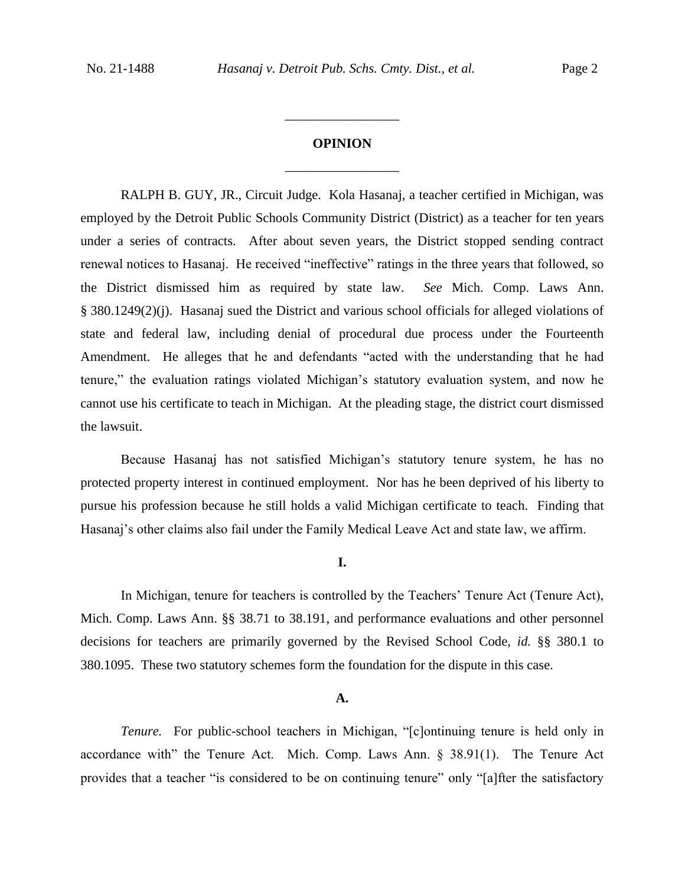# **OPINION** \_\_\_\_\_\_\_\_\_\_\_\_\_\_\_\_\_

\_\_\_\_\_\_\_\_\_\_\_\_\_\_\_\_\_

RALPH B. GUY, JR., Circuit Judge. Kola Hasanaj, a teacher certified in Michigan, was employed by the Detroit Public Schools Community District (District) as a teacher for ten years under a series of contracts. After about seven years, the District stopped sending contract renewal notices to Hasanaj. He received "ineffective" ratings in the three years that followed, so the District dismissed him as required by state law. *See* Mich. Comp. Laws Ann. § 380.1249(2)(j). Hasanaj sued the District and various school officials for alleged violations of state and federal law, including denial of procedural due process under the Fourteenth Amendment. He alleges that he and defendants "acted with the understanding that he had tenure," the evaluation ratings violated Michigan's statutory evaluation system, and now he cannot use his certificate to teach in Michigan. At the pleading stage, the district court dismissed the lawsuit.

Because Hasanaj has not satisfied Michigan's statutory tenure system, he has no protected property interest in continued employment. Nor has he been deprived of his liberty to pursue his profession because he still holds a valid Michigan certificate to teach. Finding that Hasanaj's other claims also fail under the Family Medical Leave Act and state law, we affirm.

## **I.**

In Michigan, tenure for teachers is controlled by the Teachers' Tenure Act (Tenure Act), Mich. Comp. Laws Ann. §§ 38.71 to 38.191, and performance evaluations and other personnel decisions for teachers are primarily governed by the Revised School Code, *id.* §§ 380.1 to 380.1095. These two statutory schemes form the foundation for the dispute in this case.

## **A.**

*Tenure.* For public-school teachers in Michigan, "[c]ontinuing tenure is held only in accordance with" the Tenure Act. Mich. Comp. Laws Ann. § 38.91(1). The Tenure Act provides that a teacher "is considered to be on continuing tenure" only "[a]fter the satisfactory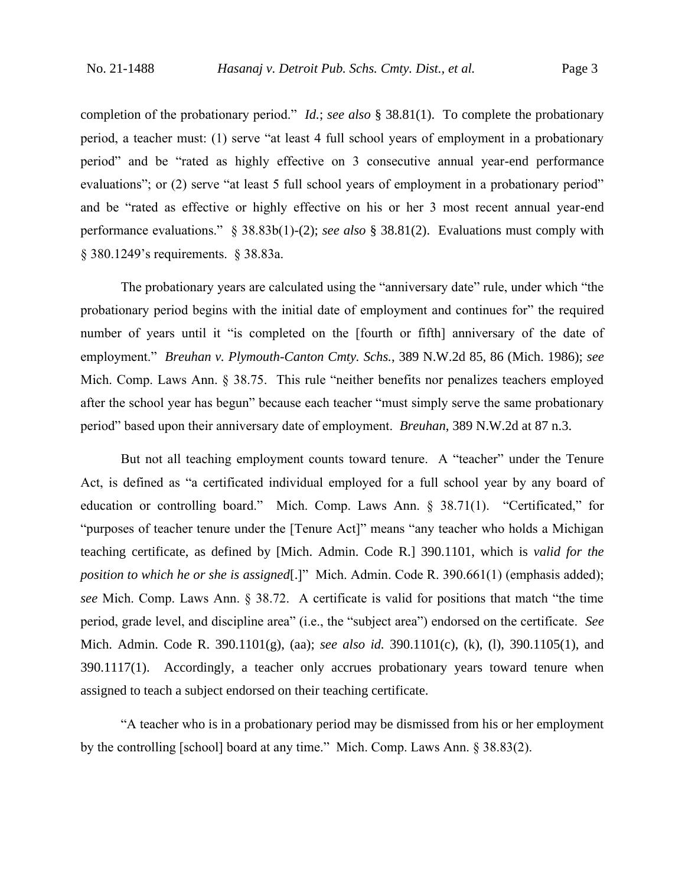completion of the probationary period." *Id.*; *see also* § 38.81(1). To complete the probationary period, a teacher must: (1) serve "at least 4 full school years of employment in a probationary period" and be "rated as highly effective on 3 consecutive annual year-end performance evaluations"; or (2) serve "at least 5 full school years of employment in a probationary period" and be "rated as effective or highly effective on his or her 3 most recent annual year-end performance evaluations." § 38.83b(1)-(2); *see also* § 38.81(2). Evaluations must comply with § 380.1249's requirements. § 38.83a.

The probationary years are calculated using the "anniversary date" rule, under which "the probationary period begins with the initial date of employment and continues for" the required number of years until it "is completed on the [fourth or fifth] anniversary of the date of employment." *Breuhan v. Plymouth-Canton Cmty. Schs.*, 389 N.W.2d 85, 86 (Mich. 1986); *see*  Mich. Comp. Laws Ann. § 38.75. This rule "neither benefits nor penalizes teachers employed after the school year has begun" because each teacher "must simply serve the same probationary period" based upon their anniversary date of employment. *Breuhan*, 389 N.W.2d at 87 n.3.

But not all teaching employment counts toward tenure. A "teacher" under the Tenure Act, is defined as "a certificated individual employed for a full school year by any board of education or controlling board." Mich. Comp. Laws Ann. § 38.71(1). "Certificated," for "purposes of teacher tenure under the [Tenure Act]" means "any teacher who holds a Michigan teaching certificate, as defined by [Mich. Admin. Code R.] 390.1101, which is *valid for the position to which he or she is assigned*[.]" Mich. Admin. Code R. 390.661(1) (emphasis added); *see* Mich. Comp. Laws Ann. § 38.72. A certificate is valid for positions that match "the time period, grade level, and discipline area" (i.e., the "subject area") endorsed on the certificate. *See*  Mich. Admin. Code R. 390.1101(g), (aa); *see also id.* 390.1101(c), (k), (l), 390.1105(1), and 390.1117(1). Accordingly, a teacher only accrues probationary years toward tenure when assigned to teach a subject endorsed on their teaching certificate.

"A teacher who is in a probationary period may be dismissed from his or her employment by the controlling [school] board at any time." Mich. Comp. Laws Ann. § 38.83(2).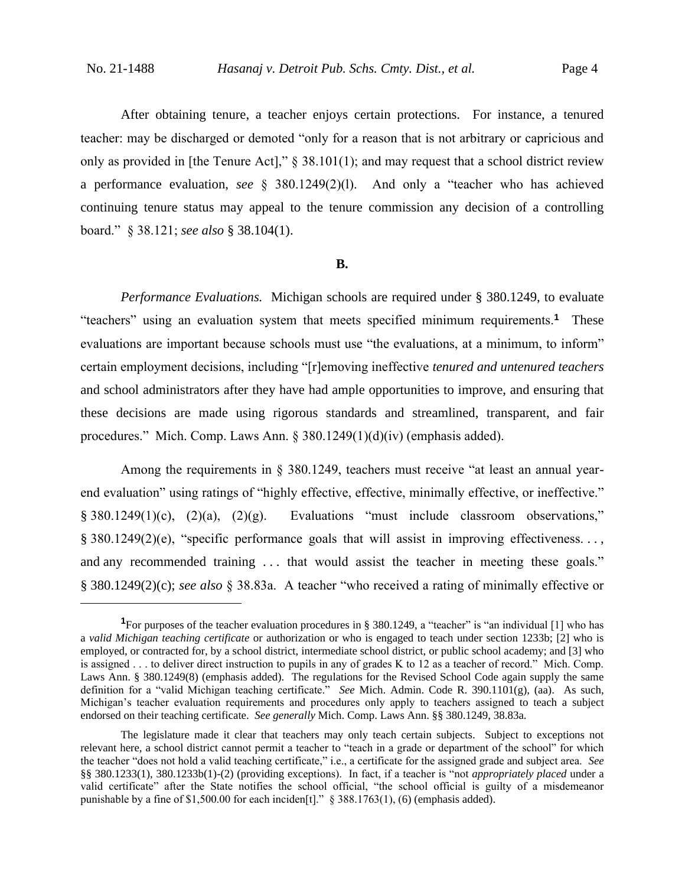After obtaining tenure, a teacher enjoys certain protections. For instance, a tenured teacher: may be discharged or demoted "only for a reason that is not arbitrary or capricious and only as provided in [the Tenure Act]," § 38.101(1); and may request that a school district review a performance evaluation, *see* § 380.1249(2)(l). And only a "teacher who has achieved continuing tenure status may appeal to the tenure commission any decision of a controlling board." § 38.121; *see also* § 38.104(1).

#### **B.**

*Performance Evaluations.* Michigan schools are required under § 380.1249, to evaluate "teachers" using an evaluation system that meets specified minimum requirements.**<sup>1</sup>** These evaluations are important because schools must use "the evaluations, at a minimum, to inform" certain employment decisions, including "[r]emoving ineffective *tenured and untenured teachers* and school administrators after they have had ample opportunities to improve, and ensuring that these decisions are made using rigorous standards and streamlined, transparent, and fair procedures." Mich. Comp. Laws Ann. § 380.1249(1)(d)(iv) (emphasis added).

Among the requirements in § 380.1249, teachers must receive "at least an annual yearend evaluation" using ratings of "highly effective, effective, minimally effective, or ineffective." § 380.1249(1)(c), (2)(a), (2)(g). Evaluations "must include classroom observations," § 380.1249(2)(e), "specific performance goals that will assist in improving effectiveness. . . , and any recommended training . . . that would assist the teacher in meeting these goals." § 380.1249(2)(c); *see also* § 38.83a. A teacher "who received a rating of minimally effective or

**<sup>1</sup>**For purposes of the teacher evaluation procedures in § 380.1249, a "teacher" is "an individual [1] who has a *valid Michigan teaching certificate* or authorization or who is engaged to teach under section 1233b; [2] who is employed, or contracted for, by a school district, intermediate school district, or public school academy; and [3] who is assigned . . . to deliver direct instruction to pupils in any of grades K to 12 as a teacher of record." Mich. Comp. Laws Ann. § 380.1249(8) (emphasis added). The regulations for the Revised School Code again supply the same definition for a "valid Michigan teaching certificate." *See* Mich. Admin. Code R. 390.1101(g), (aa). As such, Michigan's teacher evaluation requirements and procedures only apply to teachers assigned to teach a subject endorsed on their teaching certificate. *See generally* Mich. Comp. Laws Ann. §§ 380.1249, 38.83a.

The legislature made it clear that teachers may only teach certain subjects. Subject to exceptions not relevant here, a school district cannot permit a teacher to "teach in a grade or department of the school" for which the teacher "does not hold a valid teaching certificate," i.e., a certificate for the assigned grade and subject area. *See*  §§ 380.1233(1), 380.1233b(1)-(2) (providing exceptions). In fact, if a teacher is "not *appropriately placed* under a valid certificate" after the State notifies the school official, "the school official is guilty of a misdemeanor punishable by a fine of \$1,500.00 for each inciden<sup>[t]</sup>." § 388.1763(1), (6) (emphasis added).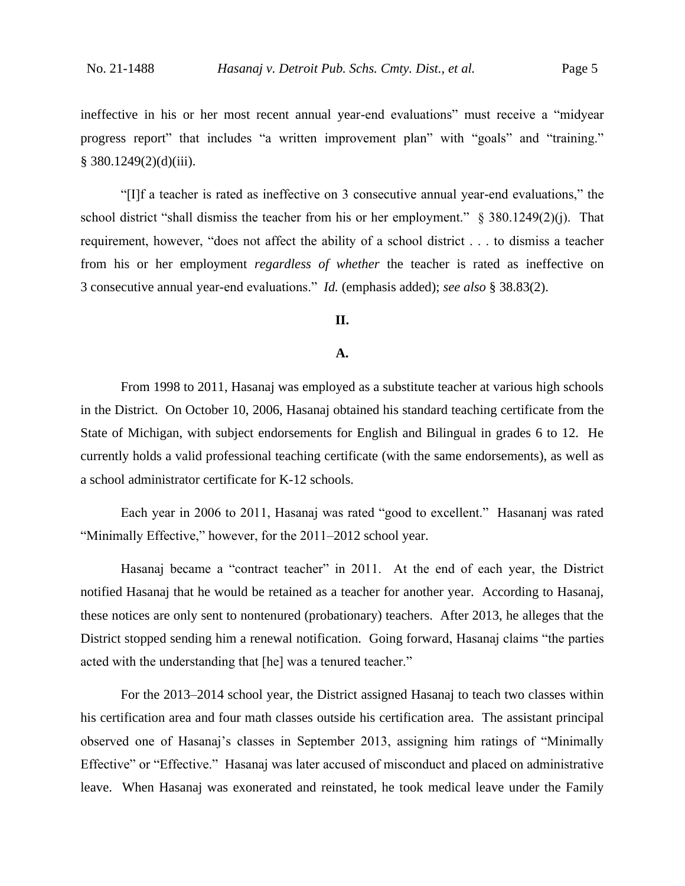ineffective in his or her most recent annual year-end evaluations" must receive a "midyear progress report" that includes "a written improvement plan" with "goals" and "training."  $§$  380.1249(2)(d)(iii).

"[I]f a teacher is rated as ineffective on 3 consecutive annual year-end evaluations," the school district "shall dismiss the teacher from his or her employment." § 380.1249(2)(j). That requirement, however, "does not affect the ability of a school district . . . to dismiss a teacher from his or her employment *regardless of whether* the teacher is rated as ineffective on 3 consecutive annual year-end evaluations." *Id.* (emphasis added); *see also* § 38.83(2).

## **II.**

#### **A.**

From 1998 to 2011, Hasanaj was employed as a substitute teacher at various high schools in the District. On October 10, 2006, Hasanaj obtained his standard teaching certificate from the State of Michigan, with subject endorsements for English and Bilingual in grades 6 to 12. He currently holds a valid professional teaching certificate (with the same endorsements), as well as a school administrator certificate for K-12 schools.

Each year in 2006 to 2011, Hasanaj was rated "good to excellent." Hasananj was rated "Minimally Effective," however, for the 2011–2012 school year.

Hasanaj became a "contract teacher" in 2011. At the end of each year, the District notified Hasanaj that he would be retained as a teacher for another year. According to Hasanaj, these notices are only sent to nontenured (probationary) teachers. After 2013, he alleges that the District stopped sending him a renewal notification. Going forward, Hasanaj claims "the parties acted with the understanding that [he] was a tenured teacher."

For the 2013–2014 school year, the District assigned Hasanaj to teach two classes within his certification area and four math classes outside his certification area. The assistant principal observed one of Hasanaj's classes in September 2013, assigning him ratings of "Minimally Effective" or "Effective." Hasanaj was later accused of misconduct and placed on administrative leave. When Hasanaj was exonerated and reinstated, he took medical leave under the Family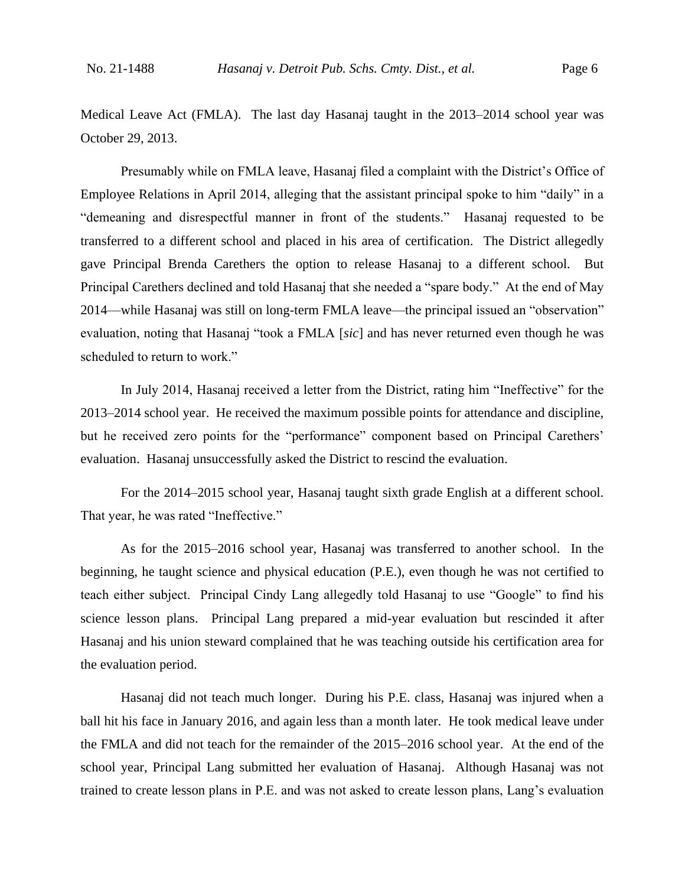Medical Leave Act (FMLA). The last day Hasanaj taught in the 2013–2014 school year was October 29, 2013.

Presumably while on FMLA leave, Hasanaj filed a complaint with the District's Office of Employee Relations in April 2014, alleging that the assistant principal spoke to him "daily" in a "demeaning and disrespectful manner in front of the students." Hasanaj requested to be transferred to a different school and placed in his area of certification. The District allegedly gave Principal Brenda Carethers the option to release Hasanaj to a different school. But Principal Carethers declined and told Hasanaj that she needed a "spare body." At the end of May 2014—while Hasanaj was still on long-term FMLA leave—the principal issued an "observation" evaluation, noting that Hasanaj "took a FMLA [*sic*] and has never returned even though he was scheduled to return to work."

In July 2014, Hasanaj received a letter from the District, rating him "Ineffective" for the 2013–2014 school year. He received the maximum possible points for attendance and discipline, but he received zero points for the "performance" component based on Principal Carethers' evaluation. Hasanaj unsuccessfully asked the District to rescind the evaluation.

For the 2014–2015 school year, Hasanaj taught sixth grade English at a different school. That year, he was rated "Ineffective."

As for the 2015–2016 school year, Hasanaj was transferred to another school. In the beginning, he taught science and physical education (P.E.), even though he was not certified to teach either subject. Principal Cindy Lang allegedly told Hasanaj to use "Google" to find his science lesson plans. Principal Lang prepared a mid-year evaluation but rescinded it after Hasanaj and his union steward complained that he was teaching outside his certification area for the evaluation period.

Hasanaj did not teach much longer. During his P.E. class, Hasanaj was injured when a ball hit his face in January 2016, and again less than a month later. He took medical leave under the FMLA and did not teach for the remainder of the 2015–2016 school year. At the end of the school year, Principal Lang submitted her evaluation of Hasanaj. Although Hasanaj was not trained to create lesson plans in P.E. and was not asked to create lesson plans, Lang's evaluation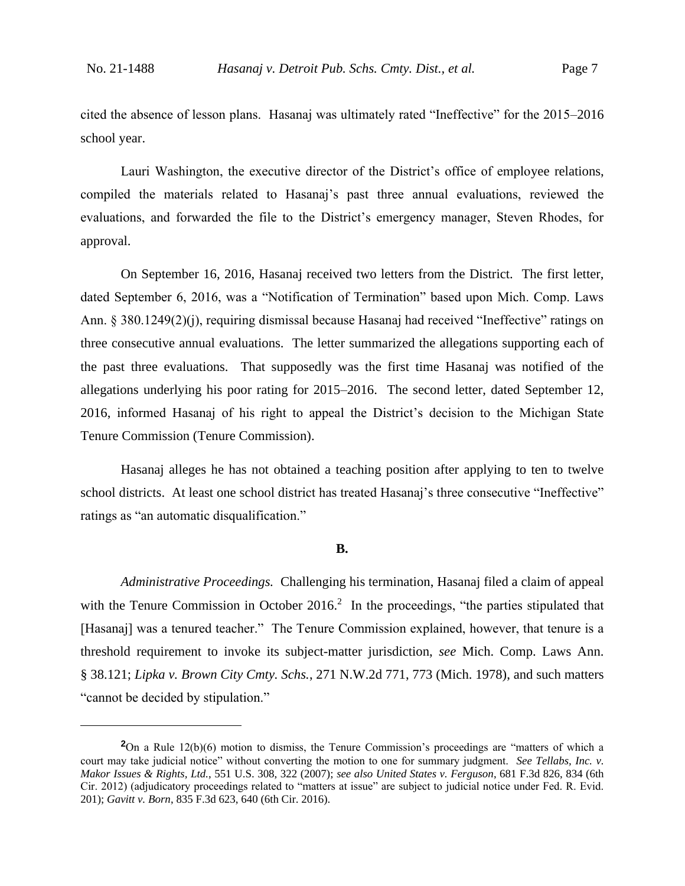cited the absence of lesson plans. Hasanaj was ultimately rated "Ineffective" for the 2015–2016 school year.

Lauri Washington, the executive director of the District's office of employee relations, compiled the materials related to Hasanaj's past three annual evaluations, reviewed the evaluations, and forwarded the file to the District's emergency manager, Steven Rhodes, for approval.

On September 16, 2016, Hasanaj received two letters from the District. The first letter, dated September 6, 2016, was a "Notification of Termination" based upon Mich. Comp. Laws Ann. § 380.1249(2)(j), requiring dismissal because Hasanaj had received "Ineffective" ratings on three consecutive annual evaluations. The letter summarized the allegations supporting each of the past three evaluations. That supposedly was the first time Hasanaj was notified of the allegations underlying his poor rating for 2015–2016. The second letter, dated September 12, 2016, informed Hasanaj of his right to appeal the District's decision to the Michigan State Tenure Commission (Tenure Commission).

Hasanaj alleges he has not obtained a teaching position after applying to ten to twelve school districts. At least one school district has treated Hasanaj's three consecutive "Ineffective" ratings as "an automatic disqualification."

## **B.**

*Administrative Proceedings.* Challenging his termination, Hasanaj filed a claim of appeal with the Tenure Commission in October 2016.<sup>2</sup> In the proceedings, "the parties stipulated that [Hasanaj] was a tenured teacher." The Tenure Commission explained, however, that tenure is a threshold requirement to invoke its subject-matter jurisdiction, *see* Mich. Comp. Laws Ann. § 38.121; *Lipka v. Brown City Cmty. Schs.*, 271 N.W.2d 771, 773 (Mich. 1978), and such matters "cannot be decided by stipulation."

**<sup>2</sup>**On a Rule 12(b)(6) motion to dismiss, the Tenure Commission's proceedings are "matters of which a court may take judicial notice" without converting the motion to one for summary judgment. *See Tellabs, Inc. v. Makor Issues & Rights, Ltd.*, 551 U.S. 308, 322 (2007); *see also United States v. Ferguson*, 681 F.3d 826, 834 (6th Cir. 2012) (adjudicatory proceedings related to "matters at issue" are subject to judicial notice under Fed. R. Evid. 201); *Gavitt v. Born*, 835 F.3d 623, 640 (6th Cir. 2016).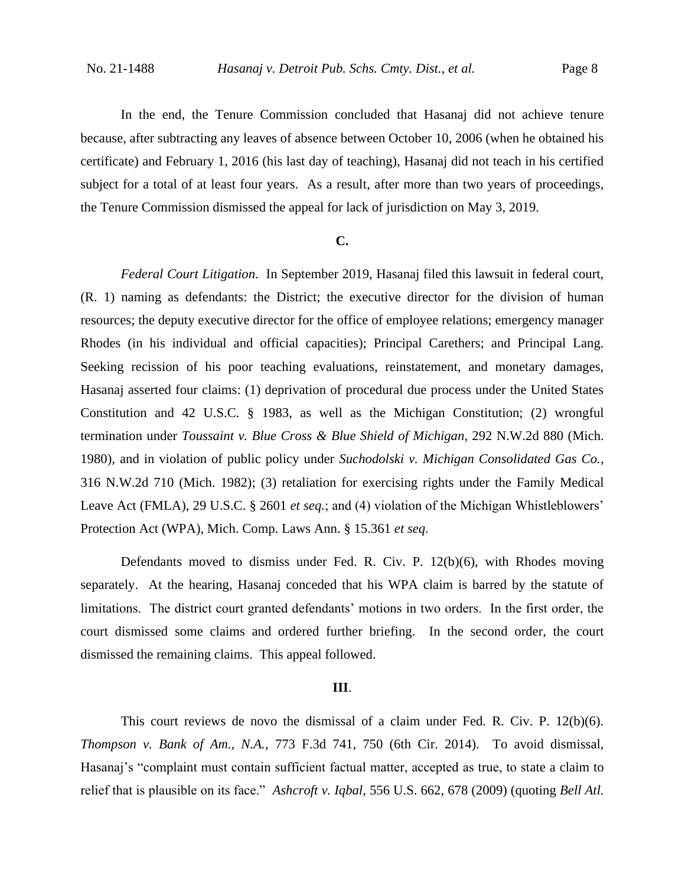In the end, the Tenure Commission concluded that Hasanaj did not achieve tenure because, after subtracting any leaves of absence between October 10, 2006 (when he obtained his certificate) and February 1, 2016 (his last day of teaching), Hasanaj did not teach in his certified subject for a total of at least four years. As a result, after more than two years of proceedings, the Tenure Commission dismissed the appeal for lack of jurisdiction on May 3, 2019.

## **C.**

*Federal Court Litigation*.In September 2019, Hasanaj filed this lawsuit in federal court, (R. 1) naming as defendants: the District; the executive director for the division of human resources; the deputy executive director for the office of employee relations; emergency manager Rhodes (in his individual and official capacities); Principal Carethers; and Principal Lang. Seeking recission of his poor teaching evaluations, reinstatement, and monetary damages, Hasanaj asserted four claims: (1) deprivation of procedural due process under the United States Constitution and 42 U.S.C. § 1983, as well as the Michigan Constitution; (2) wrongful termination under *Toussaint v. Blue Cross & Blue Shield of Michigan*, 292 N.W.2d 880 (Mich. 1980), and in violation of public policy under *Suchodolski v. Michigan Consolidated Gas Co.*, 316 N.W.2d 710 (Mich. 1982); (3) retaliation for exercising rights under the Family Medical Leave Act (FMLA), 29 U.S.C. § 2601 *et seq.*; and (4) violation of the Michigan Whistleblowers' Protection Act (WPA), Mich. Comp. Laws Ann. § 15.361 *et seq.*

Defendants moved to dismiss under Fed. R. Civ. P. 12(b)(6), with Rhodes moving separately. At the hearing, Hasanaj conceded that his WPA claim is barred by the statute of limitations. The district court granted defendants' motions in two orders. In the first order, the court dismissed some claims and ordered further briefing. In the second order, the court dismissed the remaining claims. This appeal followed.

#### **III**.

This court reviews de novo the dismissal of a claim under Fed. R. Civ. P. 12(b)(6). *Thompson v. Bank of Am., N.A.*, 773 F.3d 741, 750 (6th Cir. 2014). To avoid dismissal, Hasanaj's "complaint must contain sufficient factual matter, accepted as true, to state a claim to relief that is plausible on its face." *Ashcroft v. Iqbal*, 556 U.S. 662, 678 (2009) (quoting *Bell Atl.*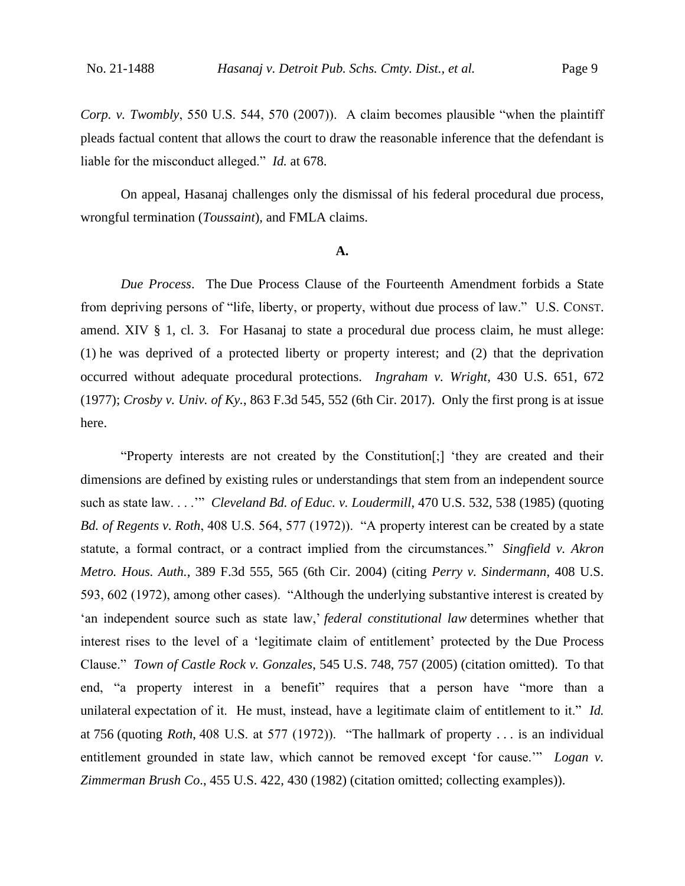*Corp. v. Twombly*, 550 U.S. 544, 570 (2007)). A claim becomes plausible "when the plaintiff pleads factual content that allows the court to draw the reasonable inference that the defendant is liable for the misconduct alleged." *Id.* at 678.

On appeal, Hasanaj challenges only the dismissal of his federal procedural due process, wrongful termination (*Toussaint*), and FMLA claims.

## **A.**

*Due Process*.The Due Process Clause of the Fourteenth Amendment forbids a State from depriving persons of "life, liberty, or property, without due process of law." U.S. CONST. amend. XIV § 1, cl. 3. For Hasanaj to state a procedural due process claim, he must allege: (1) he was deprived of a protected liberty or property interest; and (2) that the deprivation occurred without adequate procedural protections. *Ingraham v. Wright*, 430 U.S. 651, 672 (1977); *Crosby v. Univ. of Ky.*, 863 F.3d 545, 552 (6th Cir. 2017). Only the first prong is at issue here.

"Property interests are not created by the Constitution[;] 'they are created and their dimensions are defined by existing rules or understandings that stem from an independent source such as state law. . . .'" *Cleveland Bd. of Educ. v. Loudermill*, 470 U.S. 532, 538 (1985) (quoting *Bd. of Regents v. Roth*, 408 U.S. 564, 577 (1972)). "A property interest can be created by a state statute, a formal contract, or a contract implied from the circumstances." *Singfield v. Akron Metro. Hous. Auth.*, 389 F.3d 555, 565 (6th Cir. 2004) (citing *Perry v. Sindermann*, 408 U.S. 593, 602 (1972), among other cases). "Although the underlying substantive interest is created by 'an independent source such as state law,' *federal constitutional law* determines whether that interest rises to the level of a 'legitimate claim of entitlement' protected by the Due Process Clause." *Town of Castle Rock v. Gonzales*, 545 U.S. 748, 757 (2005) (citation omitted). To that end, "a property interest in a benefit" requires that a person have "more than a unilateral expectation of it. He must, instead, have a legitimate claim of entitlement to it." *Id.* at 756 (quoting *Roth*, 408 U.S. at 577 (1972)). "The hallmark of property . . . is an individual entitlement grounded in state law, which cannot be removed except 'for cause.'" *Logan v. Zimmerman Brush Co*., 455 U.S. 422, 430 (1982) (citation omitted; collecting examples)).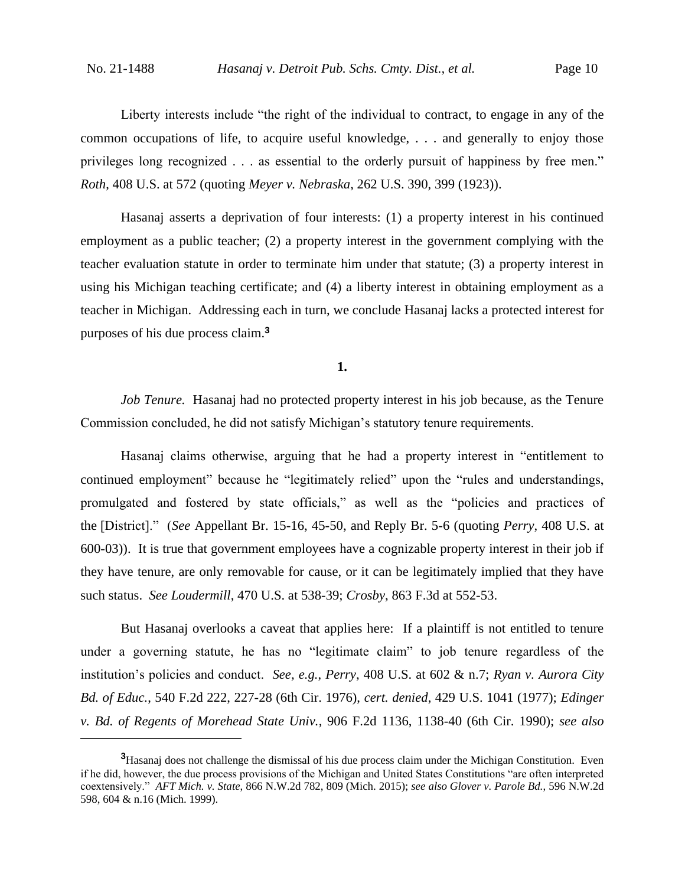Liberty interests include "the right of the individual to contract, to engage in any of the common occupations of life, to acquire useful knowledge, . . . and generally to enjoy those privileges long recognized . . . as essential to the orderly pursuit of happiness by free men." *Roth*, 408 U.S. at 572 (quoting *Meyer v. Nebraska*, 262 U.S. 390, 399 (1923)).

Hasanaj asserts a deprivation of four interests: (1) a property interest in his continued employment as a public teacher; (2) a property interest in the government complying with the teacher evaluation statute in order to terminate him under that statute; (3) a property interest in using his Michigan teaching certificate; and (4) a liberty interest in obtaining employment as a teacher in Michigan. Addressing each in turn, we conclude Hasanaj lacks a protected interest for purposes of his due process claim.**<sup>3</sup>**

**1.**

*Job Tenure.* Hasanaj had no protected property interest in his job because, as the Tenure Commission concluded, he did not satisfy Michigan's statutory tenure requirements.

Hasanaj claims otherwise, arguing that he had a property interest in "entitlement to continued employment" because he "legitimately relied" upon the "rules and understandings, promulgated and fostered by state officials," as well as the "policies and practices of the [District]." (*See* Appellant Br. 15-16, 45-50, and Reply Br. 5-6 (quoting *Perry*, 408 U.S. at 600-03)). It is true that government employees have a cognizable property interest in their job if they have tenure, are only removable for cause, or it can be legitimately implied that they have such status. *See Loudermill*, 470 U.S. at 538-39; *Crosby*, 863 F.3d at 552-53.

But Hasanaj overlooks a caveat that applies here: If a plaintiff is not entitled to tenure under a governing statute, he has no "legitimate claim" to job tenure regardless of the institution's policies and conduct. *See, e.g.*, *Perry*, 408 U.S. at 602 & n.7; *Ryan v. Aurora City Bd. of Educ.*, 540 F.2d 222, 227-28 (6th Cir. 1976), *cert. denied*, 429 U.S. 1041 (1977); *Edinger v. Bd. of Regents of Morehead State Univ.*, 906 F.2d 1136, 1138-40 (6th Cir. 1990); *see also* 

**<sup>3</sup>**Hasanaj does not challenge the dismissal of his due process claim under the Michigan Constitution. Even if he did, however, the due process provisions of the Michigan and United States Constitutions "are often interpreted coextensively." *AFT Mich. v. State*, 866 N.W.2d 782, 809 (Mich. 2015); *see also Glover v. Parole Bd.*, 596 N.W.2d 598, 604 & n.16 (Mich. 1999).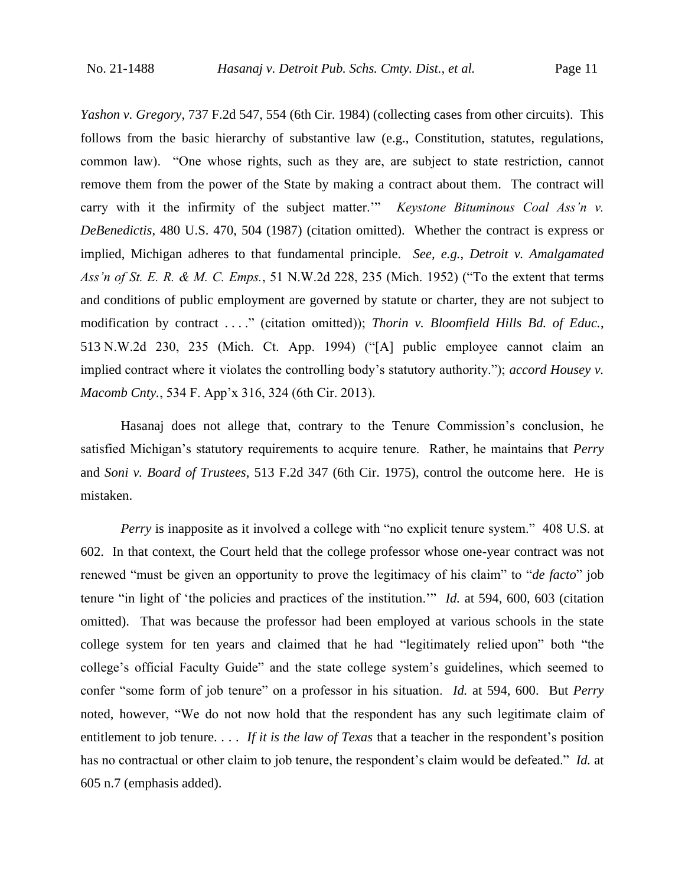*Yashon v. Gregory*, 737 F.2d 547, 554 (6th Cir. 1984) (collecting cases from other circuits). This follows from the basic hierarchy of substantive law (e.g., Constitution, statutes, regulations, common law). "One whose rights, such as they are, are subject to state restriction, cannot remove them from the power of the State by making a contract about them. The contract will carry with it the infirmity of the subject matter." *Keystone Bituminous Coal Ass'n v. DeBenedictis*, 480 U.S. 470, 504 (1987) (citation omitted). Whether the contract is express or implied, Michigan adheres to that fundamental principle. *See, e.g.*, *Detroit v. Amalgamated Ass'n of St. E. R. & M. C. Emps.*, 51 N.W.2d 228, 235 (Mich. 1952) ("To the extent that terms and conditions of public employment are governed by statute or charter, they are not subject to modification by contract . . . ." (citation omitted)); *Thorin v. Bloomfield Hills Bd. of Educ.*, 513 N.W.2d 230, 235 (Mich. Ct. App. 1994) ("[A] public employee cannot claim an implied contract where it violates the controlling body's statutory authority."); *accord Housey v. Macomb Cnty.*, 534 F. App'x 316, 324 (6th Cir. 2013).

Hasanaj does not allege that, contrary to the Tenure Commission's conclusion, he satisfied Michigan's statutory requirements to acquire tenure. Rather, he maintains that *Perry*  and *Soni v. Board of Trustees*, 513 F.2d 347 (6th Cir. 1975), control the outcome here. He is mistaken.

*Perry* is inapposite as it involved a college with "no explicit tenure system." 408 U.S. at 602. In that context, the Court held that the college professor whose one-year contract was not renewed "must be given an opportunity to prove the legitimacy of his claim" to "*de facto*" job tenure "in light of 'the policies and practices of the institution.'" *Id.* at 594, 600, 603 (citation omitted). That was because the professor had been employed at various schools in the state college system for ten years and claimed that he had "legitimately relied upon" both "the college's official Faculty Guide" and the state college system's guidelines, which seemed to confer "some form of job tenure" on a professor in his situation. *Id.* at 594, 600. But *Perry*  noted, however, "We do not now hold that the respondent has any such legitimate claim of entitlement to job tenure. . . . *If it is the law of Texas* that a teacher in the respondent's position has no contractual or other claim to job tenure, the respondent's claim would be defeated." *Id.* at 605 n.7 (emphasis added).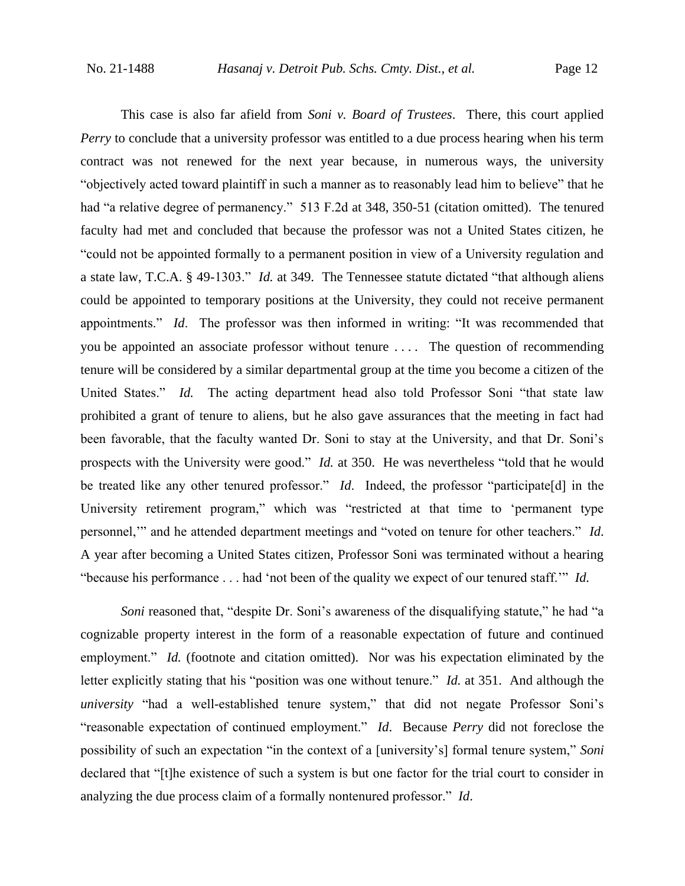This case is also far afield from *Soni v. Board of Trustees*. There, this court applied *Perry* to conclude that a university professor was entitled to a due process hearing when his term contract was not renewed for the next year because, in numerous ways, the university "objectively acted toward plaintiff in such a manner as to reasonably lead him to believe" that he had "a relative degree of permanency." 513 F.2d at 348, 350-51 (citation omitted). The tenured faculty had met and concluded that because the professor was not a United States citizen, he "could not be appointed formally to a permanent position in view of a University regulation and a state law, T.C.A. § 49-1303." *Id.* at 349. The Tennessee statute dictated "that although aliens could be appointed to temporary positions at the University, they could not receive permanent appointments." *Id*. The professor was then informed in writing: "It was recommended that you be appointed an associate professor without tenure . . . . The question of recommending tenure will be considered by a similar departmental group at the time you become a citizen of the United States." *Id.* The acting department head also told Professor Soni "that state law prohibited a grant of tenure to aliens, but he also gave assurances that the meeting in fact had been favorable, that the faculty wanted Dr. Soni to stay at the University, and that Dr. Soni's prospects with the University were good." *Id.* at 350. He was nevertheless "told that he would be treated like any other tenured professor." *Id*. Indeed, the professor "participate[d] in the University retirement program," which was "restricted at that time to 'permanent type personnel,'" and he attended department meetings and "voted on tenure for other teachers." *Id*. A year after becoming a United States citizen, Professor Soni was terminated without a hearing "because his performance . . . had 'not been of the quality we expect of our tenured staff.'" *Id.* 

*Soni* reasoned that, "despite Dr. Soni's awareness of the disqualifying statute," he had "a cognizable property interest in the form of a reasonable expectation of future and continued employment." *Id.* (footnote and citation omitted). Nor was his expectation eliminated by the letter explicitly stating that his "position was one without tenure." *Id.* at 351. And although the *university* "had a well-established tenure system," that did not negate Professor Soni's "reasonable expectation of continued employment." *Id*. Because *Perry* did not foreclose the possibility of such an expectation "in the context of a [university's] formal tenure system," *Soni*  declared that "[t]he existence of such a system is but one factor for the trial court to consider in analyzing the due process claim of a formally nontenured professor." *Id*.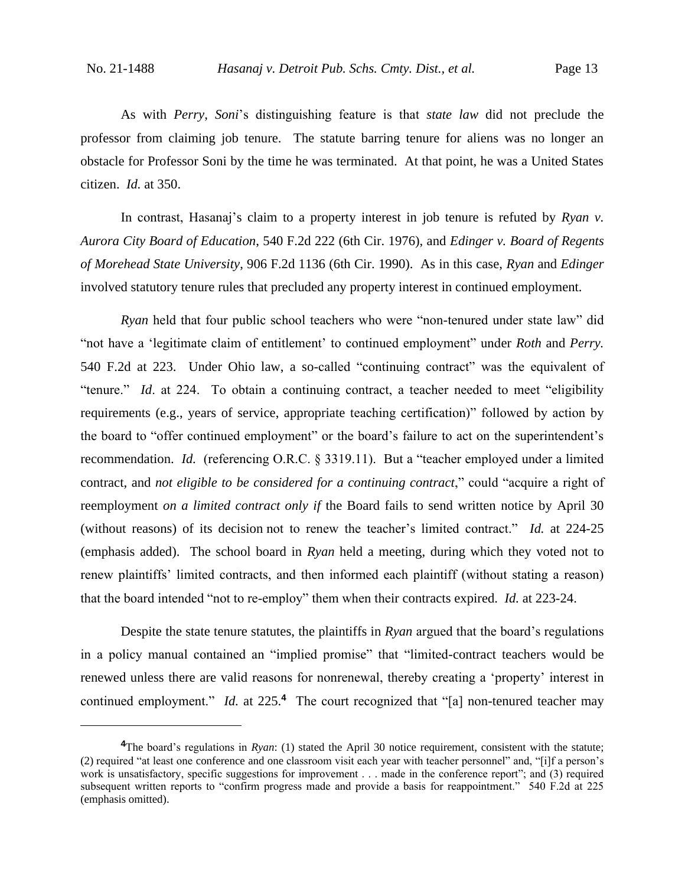As with *Perry*, *Soni*'s distinguishing feature is that *state law* did not preclude the professor from claiming job tenure. The statute barring tenure for aliens was no longer an obstacle for Professor Soni by the time he was terminated. At that point, he was a United States citizen. *Id.* at 350.

In contrast, Hasanaj's claim to a property interest in job tenure is refuted by *Ryan v. Aurora City Board of Education*, 540 F.2d 222 (6th Cir. 1976), and *Edinger v. Board of Regents of Morehead State University*, 906 F.2d 1136 (6th Cir. 1990). As in this case, *Ryan* and *Edinger* involved statutory tenure rules that precluded any property interest in continued employment.

*Ryan* held that four public school teachers who were "non-tenured under state law" did "not have a 'legitimate claim of entitlement' to continued employment" under *Roth* and *Perry.*  540 F.2d at 223. Under Ohio law, a so-called "continuing contract" was the equivalent of "tenure." *Id*. at 224. To obtain a continuing contract, a teacher needed to meet "eligibility requirements (e.g., years of service, appropriate teaching certification)" followed by action by the board to "offer continued employment" or the board's failure to act on the superintendent's recommendation. *Id.* (referencing O.R.C. § 3319.11). But a "teacher employed under a limited contract, and *not eligible to be considered for a continuing contract*," could "acquire a right of reemployment *on a limited contract only if* the Board fails to send written notice by April 30 (without reasons) of its decision not to renew the teacher's limited contract." *Id.* at 224-25 (emphasis added). The school board in *Ryan* held a meeting, during which they voted not to renew plaintiffs' limited contracts, and then informed each plaintiff (without stating a reason) that the board intended "not to re-employ" them when their contracts expired. *Id.* at 223-24.

Despite the state tenure statutes, the plaintiffs in *Ryan* argued that the board's regulations in a policy manual contained an "implied promise" that "limited-contract teachers would be renewed unless there are valid reasons for nonrenewal, thereby creating a 'property' interest in continued employment." *Id.* at 225.<sup>4</sup> The court recognized that "[a] non-tenured teacher may

**<sup>4</sup>**The board's regulations in *Ryan*: (1) stated the April 30 notice requirement, consistent with the statute; (2) required "at least one conference and one classroom visit each year with teacher personnel" and, "[i]f a person's work is unsatisfactory, specific suggestions for improvement . . . made in the conference report"; and (3) required subsequent written reports to "confirm progress made and provide a basis for reappointment." 540 F.2d at 225 (emphasis omitted).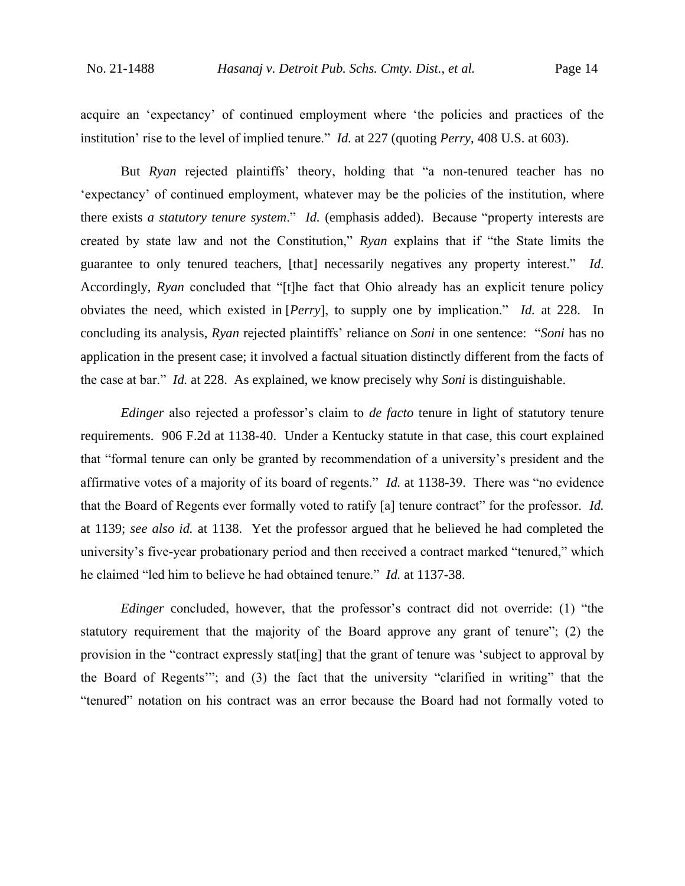acquire an 'expectancy' of continued employment where 'the policies and practices of the institution' rise to the level of implied tenure." *Id.* at 227 (quoting *Perry*, 408 U.S. at 603).

But *Ryan* rejected plaintiffs' theory, holding that "a non-tenured teacher has no 'expectancy' of continued employment, whatever may be the policies of the institution, where there exists *a statutory tenure system*." *Id.* (emphasis added). Because "property interests are created by state law and not the Constitution," *Ryan* explains that if "the State limits the guarantee to only tenured teachers, [that] necessarily negatives any property interest." *Id*. Accordingly, *Ryan* concluded that "[t]he fact that Ohio already has an explicit tenure policy obviates the need, which existed in [*Perry*], to supply one by implication." *Id.* at 228. In concluding its analysis, *Ryan* rejected plaintiffs' reliance on *Soni* in one sentence: "*Soni* has no application in the present case; it involved a factual situation distinctly different from the facts of the case at bar." *Id.* at 228. As explained, we know precisely why *Soni* is distinguishable.

*Edinger* also rejected a professor's claim to *de facto* tenure in light of statutory tenure requirements. 906 F.2d at 1138-40. Under a Kentucky statute in that case, this court explained that "formal tenure can only be granted by recommendation of a university's president and the affirmative votes of a majority of its board of regents." *Id.* at 1138-39. There was "no evidence that the Board of Regents ever formally voted to ratify [a] tenure contract" for the professor. *Id.*  at 1139; *see also id.* at 1138. Yet the professor argued that he believed he had completed the university's five-year probationary period and then received a contract marked "tenured," which he claimed "led him to believe he had obtained tenure." *Id.* at 1137-38.

*Edinger* concluded, however, that the professor's contract did not override: (1) "the statutory requirement that the majority of the Board approve any grant of tenure"; (2) the provision in the "contract expressly stat[ing] that the grant of tenure was 'subject to approval by the Board of Regents'"; and (3) the fact that the university "clarified in writing" that the "tenured" notation on his contract was an error because the Board had not formally voted to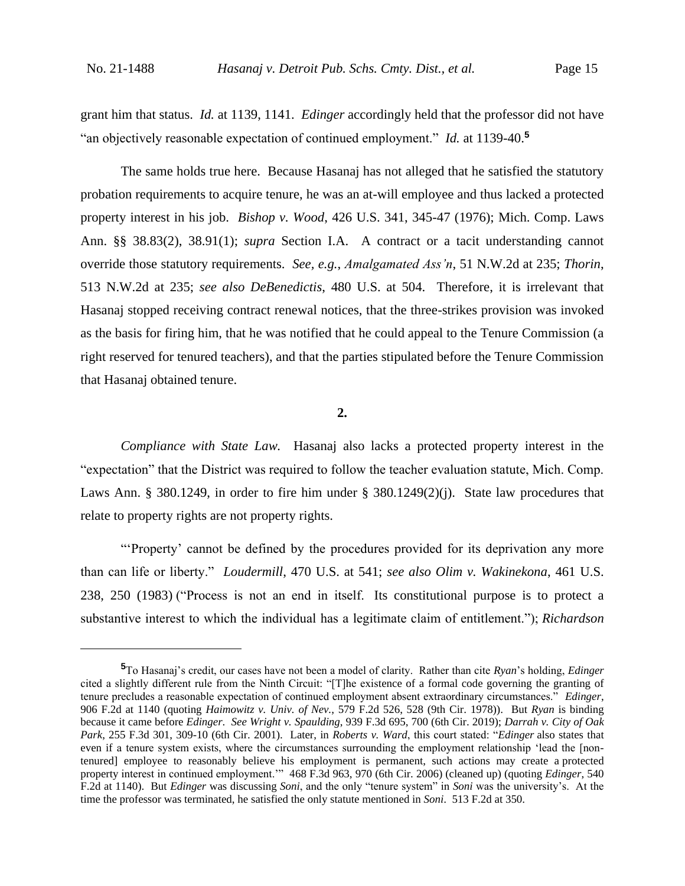grant him that status. *Id.* at 1139, 1141. *Edinger* accordingly held that the professor did not have "an objectively reasonable expectation of continued employment." *Id.* at 1139-40.**<sup>5</sup>**

The same holds true here. Because Hasanaj has not alleged that he satisfied the statutory probation requirements to acquire tenure, he was an at-will employee and thus lacked a protected property interest in his job. *Bishop v. Wood*, 426 U.S. 341, 345-47 (1976); Mich. Comp. Laws Ann. §§ 38.83(2), 38.91(1); *supra* Section I.A. A contract or a tacit understanding cannot override those statutory requirements. *See, e.g.*, *Amalgamated Ass'n*, 51 N.W.2d at 235; *Thorin*, 513 N.W.2d at 235; *see also DeBenedictis*, 480 U.S. at 504. Therefore, it is irrelevant that Hasanaj stopped receiving contract renewal notices, that the three-strikes provision was invoked as the basis for firing him, that he was notified that he could appeal to the Tenure Commission (a right reserved for tenured teachers), and that the parties stipulated before the Tenure Commission that Hasanaj obtained tenure.

**2.**

*Compliance with State Law.* Hasanaj also lacks a protected property interest in the "expectation" that the District was required to follow the teacher evaluation statute, Mich. Comp. Laws Ann. § 380.1249, in order to fire him under § 380.1249(2)(j). State law procedures that relate to property rights are not property rights.

"'Property' cannot be defined by the procedures provided for its deprivation any more than can life or liberty." *Loudermill*, 470 U.S. at 541; *see also Olim v. Wakinekona*, 461 U.S. 238, 250 (1983) ("Process is not an end in itself. Its constitutional purpose is to protect a substantive interest to which the individual has a legitimate claim of entitlement."); *Richardson* 

**<sup>5</sup>**To Hasanaj's credit, our cases have not been a model of clarity. Rather than cite *Ryan*'s holding, *Edinger*  cited a slightly different rule from the Ninth Circuit: "[T]he existence of a formal code governing the granting of tenure precludes a reasonable expectation of continued employment absent extraordinary circumstances." *Edinger*, 906 F.2d at 1140 (quoting *Haimowitz v. Univ. of Nev.*, 579 F.2d 526, 528 (9th Cir. 1978)).But *Ryan* is binding because it came before *Edinger*. *See Wright v. Spaulding*, 939 F.3d 695, 700 (6th Cir. 2019); *Darrah v. City of Oak Park*, 255 F.3d 301, 309-10 (6th Cir. 2001). Later, in *Roberts v. Ward*, this court stated: "*Edinger* also states that even if a tenure system exists, where the circumstances surrounding the employment relationship 'lead the [nontenured] employee to reasonably believe his employment is permanent, such actions may create a protected property interest in continued employment.'" 468 F.3d 963, 970 (6th Cir. 2006) (cleaned up) (quoting *Edinger*, 540 F.2d at 1140). But *Edinger* was discussing *Soni*, and the only "tenure system" in *Soni* was the university's. At the time the professor was terminated, he satisfied the only statute mentioned in *Soni*. 513 F.2d at 350.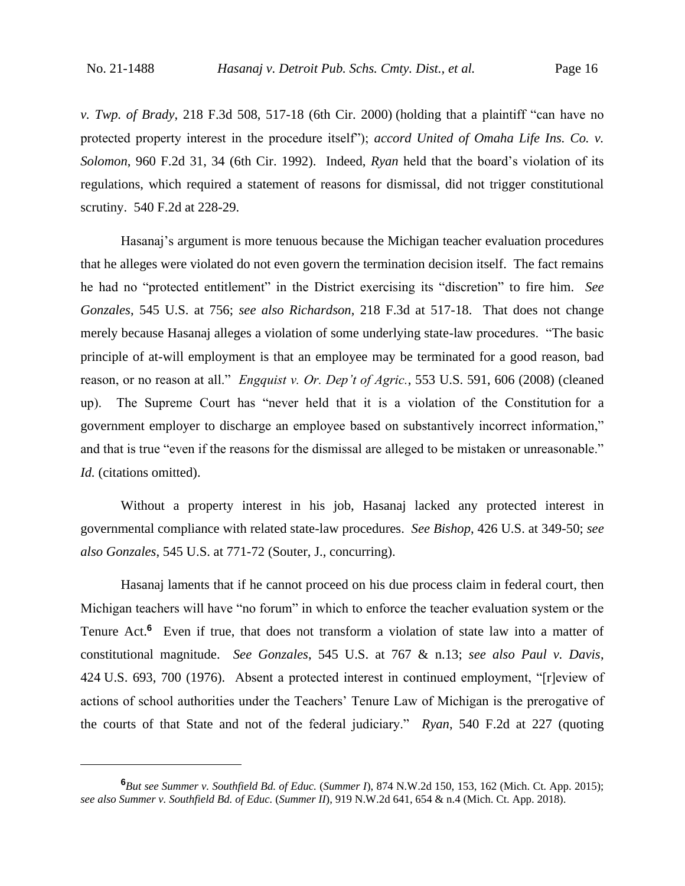*v. Twp. of Brady*, 218 F.3d 508, 517-18 (6th Cir. 2000) (holding that a plaintiff "can have no protected property interest in the procedure itself"); *accord United of Omaha Life Ins. Co. v. Solomon*, 960 F.2d 31, 34 (6th Cir. 1992). Indeed, *Ryan* held that the board's violation of its regulations, which required a statement of reasons for dismissal, did not trigger constitutional scrutiny. 540 F.2d at 228-29.

Hasanaj's argument is more tenuous because the Michigan teacher evaluation procedures that he alleges were violated do not even govern the termination decision itself. The fact remains he had no "protected entitlement" in the District exercising its "discretion" to fire him. *See Gonzales*, 545 U.S. at 756; *see also Richardson*, 218 F.3d at 517-18. That does not change merely because Hasanaj alleges a violation of some underlying state-law procedures. "The basic principle of at-will employment is that an employee may be terminated for a good reason, bad reason, or no reason at all." *Engquist v. Or. Dep't of Agric.*, 553 U.S. 591, 606 (2008) (cleaned up). The Supreme Court has "never held that it is a violation of the Constitution for a government employer to discharge an employee based on substantively incorrect information," and that is true "even if the reasons for the dismissal are alleged to be mistaken or unreasonable." *Id.* (citations omitted).

Without a property interest in his job, Hasanaj lacked any protected interest in governmental compliance with related state-law procedures. *See Bishop*, 426 U.S. at 349-50; *see also Gonzales*, 545 U.S. at 771-72 (Souter, J., concurring).

Hasanaj laments that if he cannot proceed on his due process claim in federal court, then Michigan teachers will have "no forum" in which to enforce the teacher evaluation system or the Tenure Act.<sup>6</sup> Even if true, that does not transform a violation of state law into a matter of constitutional magnitude. *See Gonzales*, 545 U.S. at 767 & n.13; *see also Paul v. Davis*, 424 U.S. 693, 700 (1976).Absent a protected interest in continued employment, "[r]eview of actions of school authorities under the Teachers' Tenure Law of Michigan is the prerogative of the courts of that State and not of the federal judiciary." *Ryan*, 540 F.2d at 227 (quoting

**<sup>6</sup>***But see Summer v. Southfield Bd. of Educ.* (*Summer I*), 874 N.W.2d 150, 153, 162 (Mich. Ct. App. 2015); *see also Summer v. Southfield Bd. of Educ.* (*Summer II*), 919 N.W.2d 641, 654 & n.4 (Mich. Ct. App. 2018).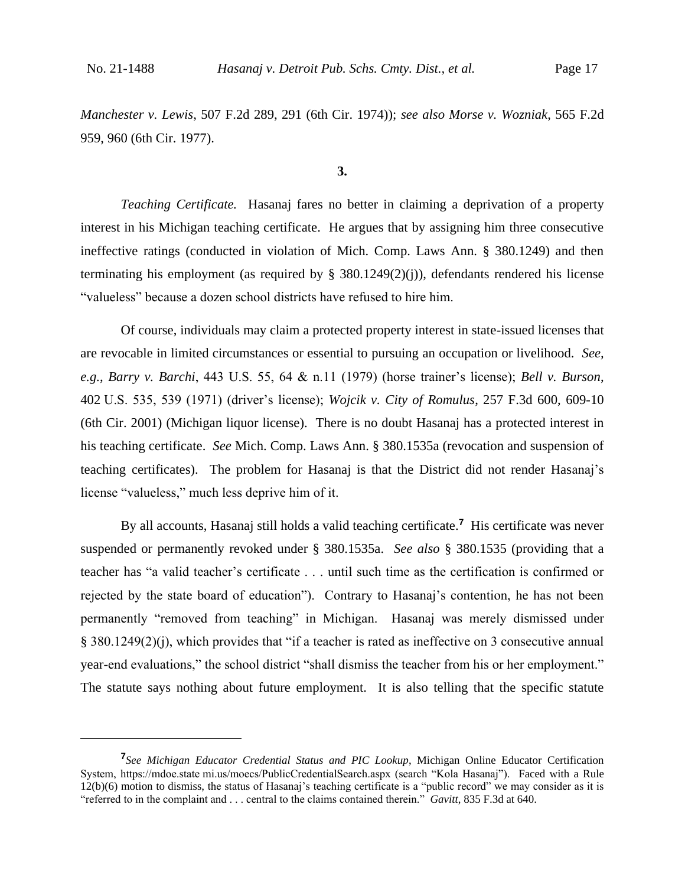*Manchester v. Lewis*, 507 F.2d 289, 291 (6th Cir. 1974)); *see also Morse v. Wozniak*, 565 F.2d 959, 960 (6th Cir. 1977).

**3.**

*Teaching Certificate.* Hasanaj fares no better in claiming a deprivation of a property interest in his Michigan teaching certificate. He argues that by assigning him three consecutive ineffective ratings (conducted in violation of Mich. Comp. Laws Ann. § 380.1249) and then terminating his employment (as required by  $\S$  380.1249(2)(j)), defendants rendered his license "valueless" because a dozen school districts have refused to hire him.

Of course, individuals may claim a protected property interest in state-issued licenses that are revocable in limited circumstances or essential to pursuing an occupation or livelihood. *See, e.g.*, *Barry v. Barchi*, 443 U.S. 55, 64 & n.11 (1979) (horse trainer's license); *Bell v. Burson*, 402 U.S. 535, 539 (1971) (driver's license); *Wojcik v. City of Romulus*, 257 F.3d 600, 609-10 (6th Cir. 2001) (Michigan liquor license). There is no doubt Hasanaj has a protected interest in his teaching certificate. *See* Mich. Comp. Laws Ann. § 380.1535a (revocation and suspension of teaching certificates). The problem for Hasanaj is that the District did not render Hasanaj's license "valueless," much less deprive him of it.

By all accounts, Hasanaj still holds a valid teaching certificate.**<sup>7</sup>** His certificate was never suspended or permanently revoked under § 380.1535a. *See also* § 380.1535 (providing that a teacher has "a valid teacher's certificate . . . until such time as the certification is confirmed or rejected by the state board of education"). Contrary to Hasanaj's contention, he has not been permanently "removed from teaching" in Michigan. Hasanaj was merely dismissed under § 380.1249(2)(j), which provides that "if a teacher is rated as ineffective on 3 consecutive annual year-end evaluations," the school district "shall dismiss the teacher from his or her employment." The statute says nothing about future employment. It is also telling that the specific statute

**<sup>7</sup>** *See Michigan Educator Credential Status and PIC Lookup*, Michigan Online Educator Certification System, https://mdoe.state mi.us/moecs/PublicCredentialSearch.aspx (search "Kola Hasanaj"). Faced with a Rule 12(b)(6) motion to dismiss, the status of Hasanaj's teaching certificate is a "public record" we may consider as it is "referred to in the complaint and . . . central to the claims contained therein." *Gavitt*, 835 F.3d at 640.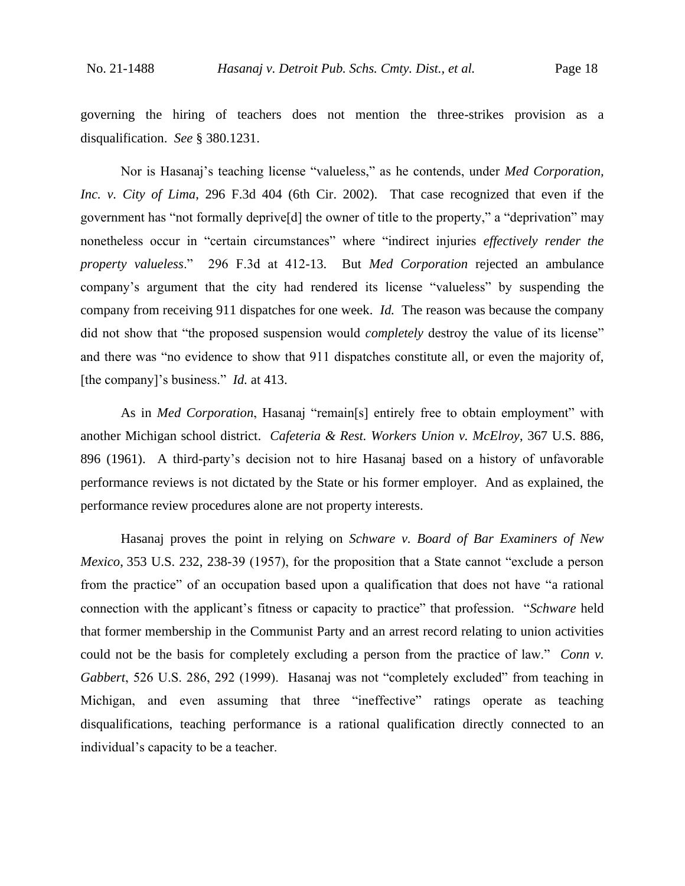governing the hiring of teachers does not mention the three-strikes provision as a disqualification. *See* § 380.1231.

Nor is Hasanaj's teaching license "valueless," as he contends, under *Med Corporation, Inc. v. City of Lima*, 296 F.3d 404 (6th Cir. 2002). That case recognized that even if the government has "not formally deprive[d] the owner of title to the property," a "deprivation" may nonetheless occur in "certain circumstances" where "indirect injuries *effectively render the property valueless*." 296 F.3d at 412-13. But *Med Corporation* rejected an ambulance company's argument that the city had rendered its license "valueless" by suspending the company from receiving 911 dispatches for one week. *Id.* The reason was because the company did not show that "the proposed suspension would *completely* destroy the value of its license" and there was "no evidence to show that 911 dispatches constitute all, or even the majority of, [the company]'s business." *Id.* at 413.

As in *Med Corporation*, Hasanaj "remain[s] entirely free to obtain employment" with another Michigan school district. *Cafeteria & Rest. Workers Union v. McElroy*, 367 U.S. 886, 896 (1961). A third-party's decision not to hire Hasanaj based on a history of unfavorable performance reviews is not dictated by the State or his former employer. And as explained, the performance review procedures alone are not property interests.

Hasanaj proves the point in relying on *Schware v. Board of Bar Examiners of New Mexico*, 353 U.S. 232, 238-39 (1957), for the proposition that a State cannot "exclude a person from the practice" of an occupation based upon a qualification that does not have "a rational connection with the applicant's fitness or capacity to practice" that profession. "*Schware* held that former membership in the Communist Party and an arrest record relating to union activities could not be the basis for completely excluding a person from the practice of law." *Conn v. Gabbert*, 526 U.S. 286, 292 (1999). Hasanaj was not "completely excluded" from teaching in Michigan, and even assuming that three "ineffective" ratings operate as teaching disqualifications, teaching performance is a rational qualification directly connected to an individual's capacity to be a teacher.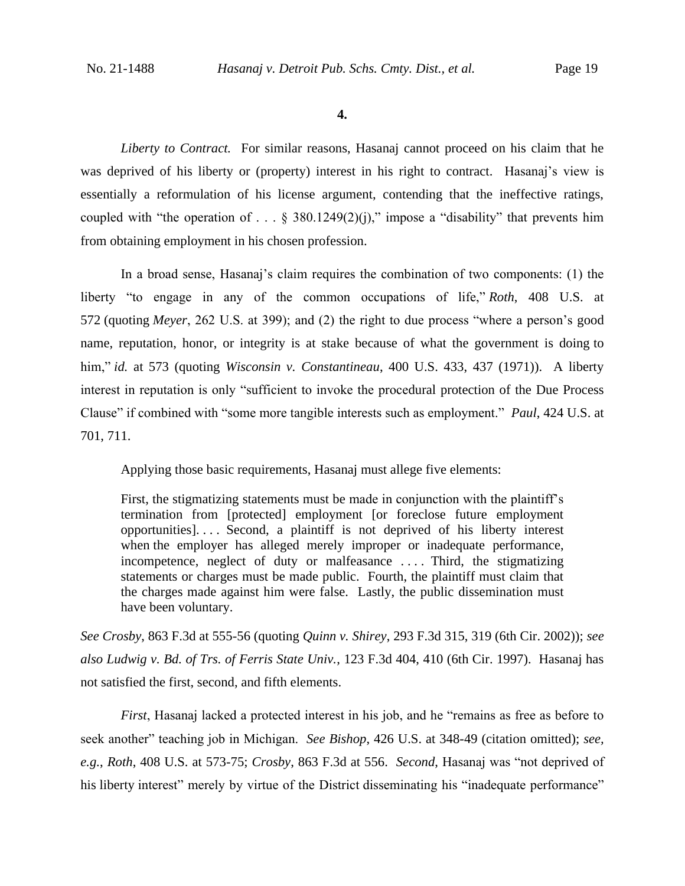**4.**

*Liberty to Contract.* For similar reasons, Hasanaj cannot proceed on his claim that he was deprived of his liberty or (property) interest in his right to contract. Hasanaj's view is essentially a reformulation of his license argument, contending that the ineffective ratings, coupled with "the operation of . . . § 380.1249(2)(j)," impose a "disability" that prevents him from obtaining employment in his chosen profession.

In a broad sense, Hasanaj's claim requires the combination of two components: (1) the liberty "to engage in any of the common occupations of life," *Roth*, 408 U.S. at 572 (quoting *Meyer*, 262 U.S. at 399); and (2) the right to due process "where a person's good name, reputation, honor, or integrity is at stake because of what the government is doing to him," *id.* at 573 (quoting *Wisconsin v. Constantineau*, 400 U.S. 433, 437 (1971)). A liberty interest in reputation is only "sufficient to invoke the procedural protection of the Due Process Clause" if combined with "some more tangible interests such as employment." *Paul*, 424 U.S. at 701, 711.

Applying those basic requirements, Hasanaj must allege five elements:

First, the stigmatizing statements must be made in conjunction with the plaintiff's termination from [protected] employment [or foreclose future employment opportunities]. . . . Second, a plaintiff is not deprived of his liberty interest when the employer has alleged merely improper or inadequate performance, incompetence, neglect of duty or malfeasance .... Third, the stigmatizing statements or charges must be made public. Fourth, the plaintiff must claim that the charges made against him were false. Lastly, the public dissemination must have been voluntary.

*See Crosby*, 863 F.3d at 555-56 (quoting *Quinn v. Shirey*, 293 F.3d 315, 319 (6th Cir. 2002)); *see also Ludwig v. Bd. of Trs. of Ferris State Univ.*, 123 F.3d 404, 410 (6th Cir. 1997). Hasanaj has not satisfied the first, second, and fifth elements.

*First*, Hasanaj lacked a protected interest in his job, and he "remains as free as before to seek another" teaching job in Michigan. *See Bishop*, 426 U.S. at 348-49 (citation omitted); *see, e.g.*, *Roth*, 408 U.S. at 573-75; *Crosby*, 863 F.3d at 556. *Second*, Hasanaj was "not deprived of his liberty interest" merely by virtue of the District disseminating his "inadequate performance"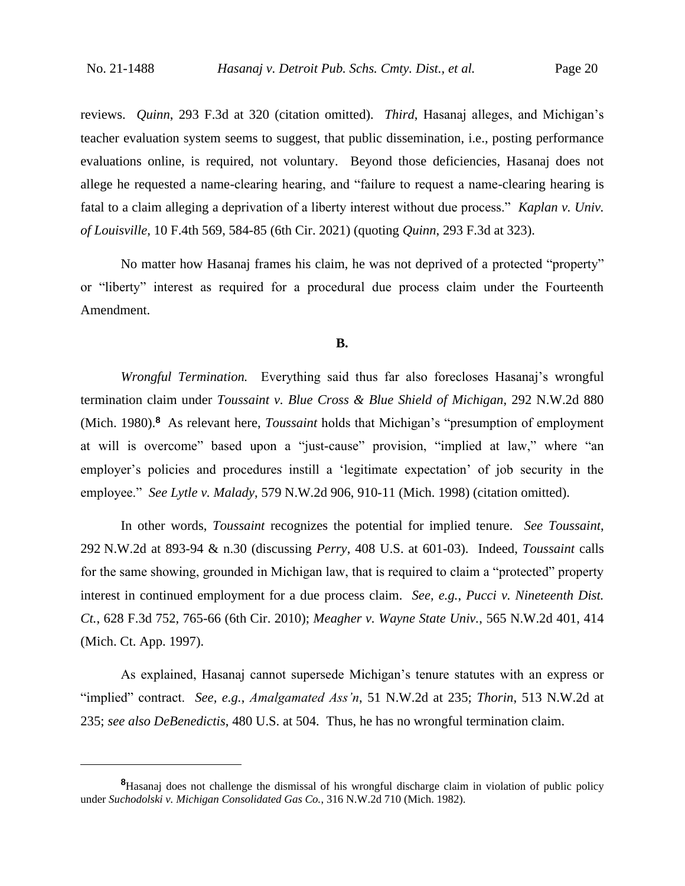reviews. *Quinn*, 293 F.3d at 320 (citation omitted). *Third*, Hasanaj alleges, and Michigan's teacher evaluation system seems to suggest, that public dissemination, i.e., posting performance evaluations online, is required, not voluntary. Beyond those deficiencies, Hasanaj does not allege he requested a name-clearing hearing, and "failure to request a name-clearing hearing is fatal to a claim alleging a deprivation of a liberty interest without due process." *Kaplan v. Univ. of Louisville*, 10 F.4th 569, 584-85 (6th Cir. 2021) (quoting *Quinn*, 293 F.3d at 323).

No matter how Hasanaj frames his claim, he was not deprived of a protected "property" or "liberty" interest as required for a procedural due process claim under the Fourteenth Amendment.

## **B.**

*Wrongful Termination.* Everything said thus far also forecloses Hasanaj's wrongful termination claim under *Toussaint v. Blue Cross & Blue Shield of Michigan*, 292 N.W.2d 880 (Mich. 1980).**<sup>8</sup>** As relevant here, *Toussaint* holds that Michigan's "presumption of employment at will is overcome" based upon a "just-cause" provision, "implied at law," where "an employer's policies and procedures instill a 'legitimate expectation' of job security in the employee." *See Lytle v. Malady*, 579 N.W.2d 906, 910-11 (Mich. 1998) (citation omitted).

In other words, *Toussaint* recognizes the potential for implied tenure. *See Toussaint*, 292 N.W.2d at 893-94 & n.30 (discussing *Perry*, 408 U.S. at 601-03).Indeed, *Toussaint* calls for the same showing, grounded in Michigan law, that is required to claim a "protected" property interest in continued employment for a due process claim. *See, e.g.*, *Pucci v. Nineteenth Dist. Ct.*, 628 F.3d 752, 765-66 (6th Cir. 2010); *Meagher v. Wayne State Univ.*, 565 N.W.2d 401, 414 (Mich. Ct. App. 1997).

As explained, Hasanaj cannot supersede Michigan's tenure statutes with an express or "implied" contract. *See, e.g.*, *Amalgamated Ass'n*, 51 N.W.2d at 235; *Thorin*, 513 N.W.2d at 235; *see also DeBenedictis*, 480 U.S. at 504. Thus, he has no wrongful termination claim.

**<sup>8</sup>**Hasanaj does not challenge the dismissal of his wrongful discharge claim in violation of public policy under *Suchodolski v. Michigan Consolidated Gas Co.*, 316 N.W.2d 710 (Mich. 1982).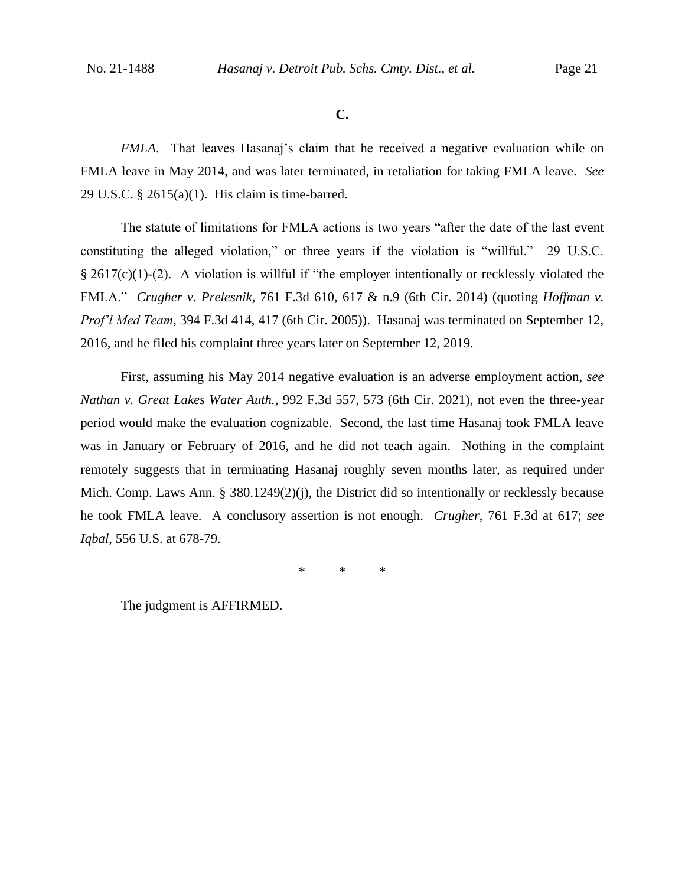#### **C.**

*FMLA*. That leaves Hasanaj's claim that he received a negative evaluation while on FMLA leave in May 2014, and was later terminated, in retaliation for taking FMLA leave. *See*  29 U.S.C. § 2615(a)(1). His claim is time-barred.

The statute of limitations for FMLA actions is two years "after the date of the last event constituting the alleged violation," or three years if the violation is "willful." 29 U.S.C. § 2617(c)(1)-(2). A violation is willful if "the employer intentionally or recklessly violated the FMLA." *Crugher v. Prelesnik*, 761 F.3d 610, 617 & n.9 (6th Cir. 2014) (quoting *Hoffman v. Prof'l Med Team*, 394 F.3d 414, 417 (6th Cir. 2005)). Hasanaj was terminated on September 12, 2016, and he filed his complaint three years later on September 12, 2019.

First, assuming his May 2014 negative evaluation is an adverse employment action, *see Nathan v. Great Lakes Water Auth.*, 992 F.3d 557, 573 (6th Cir. 2021), not even the three-year period would make the evaluation cognizable. Second, the last time Hasanaj took FMLA leave was in January or February of 2016, and he did not teach again. Nothing in the complaint remotely suggests that in terminating Hasanaj roughly seven months later, as required under Mich. Comp. Laws Ann. § 380.1249(2)(j), the District did so intentionally or recklessly because he took FMLA leave. A conclusory assertion is not enough. *Crugher*, 761 F.3d at 617; *see Iqbal*, 556 U.S. at 678-79.

\* \* \*

The judgment is AFFIRMED.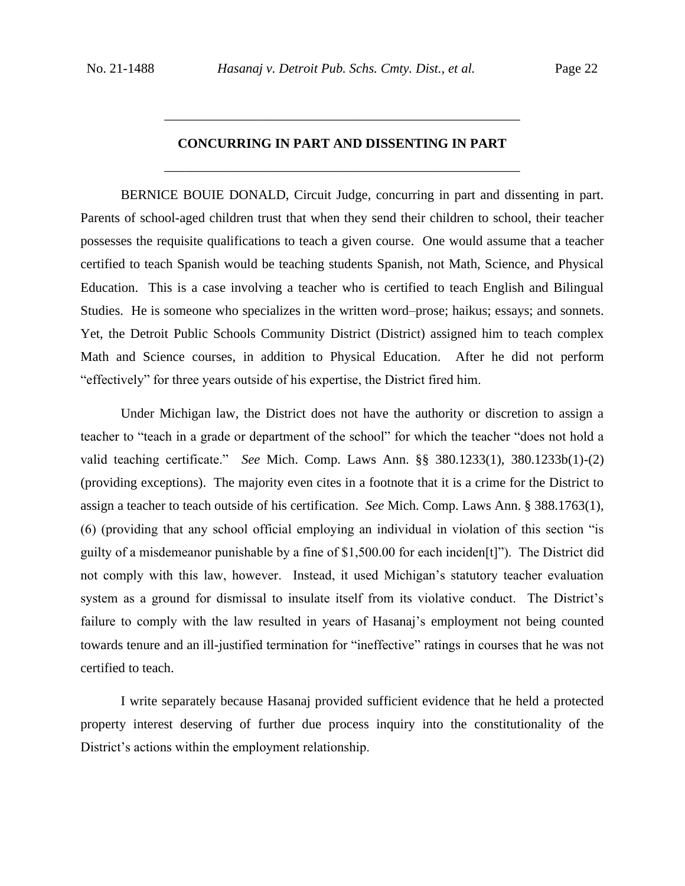# **CONCURRING IN PART AND DISSENTING IN PART** \_\_\_\_\_\_\_\_\_\_\_\_\_\_\_\_\_\_\_\_\_\_\_\_\_\_\_\_\_\_\_\_\_\_\_\_\_\_\_\_\_\_\_\_\_\_\_\_\_\_\_\_\_

\_\_\_\_\_\_\_\_\_\_\_\_\_\_\_\_\_\_\_\_\_\_\_\_\_\_\_\_\_\_\_\_\_\_\_\_\_\_\_\_\_\_\_\_\_\_\_\_\_\_\_\_\_

BERNICE BOUIE DONALD, Circuit Judge, concurring in part and dissenting in part. Parents of school-aged children trust that when they send their children to school, their teacher possesses the requisite qualifications to teach a given course. One would assume that a teacher certified to teach Spanish would be teaching students Spanish, not Math, Science, and Physical Education. This is a case involving a teacher who is certified to teach English and Bilingual Studies. He is someone who specializes in the written word–prose; haikus; essays; and sonnets. Yet, the Detroit Public Schools Community District (District) assigned him to teach complex Math and Science courses, in addition to Physical Education. After he did not perform "effectively" for three years outside of his expertise, the District fired him.

Under Michigan law, the District does not have the authority or discretion to assign a teacher to "teach in a grade or department of the school" for which the teacher "does not hold a valid teaching certificate." *See* Mich. Comp. Laws Ann. §§ 380.1233(1), 380.1233b(1)-(2) (providing exceptions). The majority even cites in a footnote that it is a crime for the District to assign a teacher to teach outside of his certification. *See* Mich. Comp. Laws Ann. § 388.1763(1), (6) (providing that any school official employing an individual in violation of this section "is guilty of a misdemeanor punishable by a fine of \$1,500.00 for each inciden[t]"). The District did not comply with this law, however. Instead, it used Michigan's statutory teacher evaluation system as a ground for dismissal to insulate itself from its violative conduct. The District's failure to comply with the law resulted in years of Hasanaj's employment not being counted towards tenure and an ill-justified termination for "ineffective" ratings in courses that he was not certified to teach.

I write separately because Hasanaj provided sufficient evidence that he held a protected property interest deserving of further due process inquiry into the constitutionality of the District's actions within the employment relationship.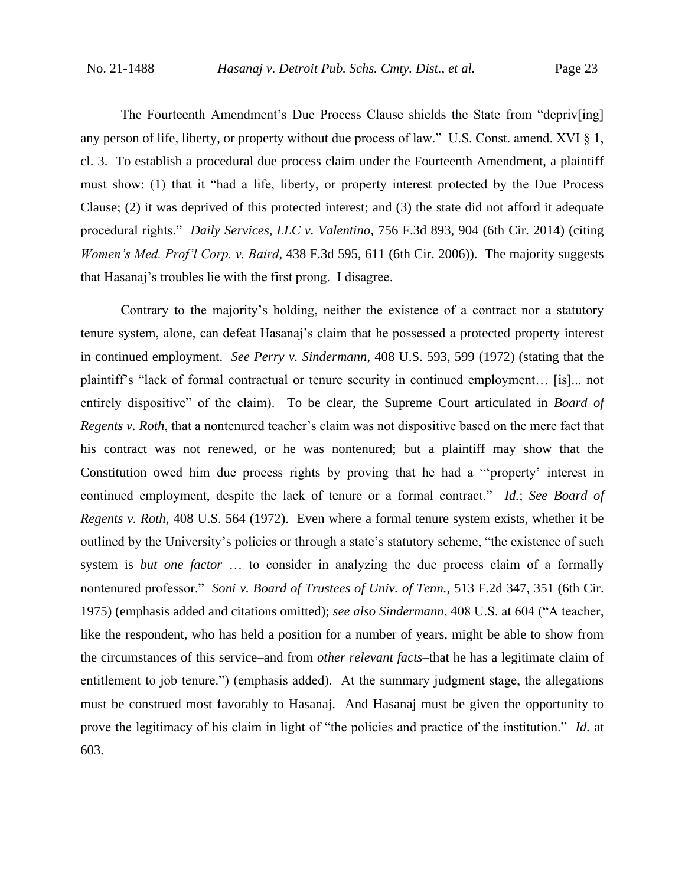The Fourteenth Amendment's Due Process Clause shields the State from "depriv[ing] any person of life, liberty, or property without due process of law." U.S. Const. amend. XVI § 1, cl. 3. To establish a procedural due process claim under the Fourteenth Amendment, a plaintiff must show: (1) that it "had a life, liberty, or property interest protected by the Due Process Clause; (2) it was deprived of this protected interest; and (3) the state did not afford it adequate procedural rights." *Daily Services, LLC v. Valentino*, 756 F.3d 893, 904 (6th Cir. 2014) (citing *Women's Med. Prof'l Corp. v. Baird*, 438 F.3d 595, 611 (6th Cir. 2006)). The majority suggests that Hasanaj's troubles lie with the first prong. I disagree.

Contrary to the majority's holding, neither the existence of a contract nor a statutory tenure system, alone, can defeat Hasanaj's claim that he possessed a protected property interest in continued employment. *See Perry v. Sindermann*, 408 U.S. 593, 599 (1972) (stating that the plaintiff's "lack of formal contractual or tenure security in continued employment… [is]... not entirely dispositive" of the claim). To be clear, the Supreme Court articulated in *Board of Regents v. Roth*, that a nontenured teacher's claim was not dispositive based on the mere fact that his contract was not renewed, or he was nontenured; but a plaintiff may show that the Constitution owed him due process rights by proving that he had a "'property' interest in continued employment, despite the lack of tenure or a formal contract." *Id.*; *See Board of Regents v. Roth*, 408 U.S. 564 (1972). Even where a formal tenure system exists, whether it be outlined by the University's policies or through a state's statutory scheme, "the existence of such system is *but one factor* … to consider in analyzing the due process claim of a formally nontenured professor." *Soni v. Board of Trustees of Univ. of Tenn.*, 513 F.2d 347, 351 (6th Cir. 1975) (emphasis added and citations omitted); *see also Sindermann*, 408 U.S. at 604 ("A teacher, like the respondent, who has held a position for a number of years, might be able to show from the circumstances of this service–and from *other relevant facts*–that he has a legitimate claim of entitlement to job tenure.") (emphasis added). At the summary judgment stage, the allegations must be construed most favorably to Hasanaj. And Hasanaj must be given the opportunity to prove the legitimacy of his claim in light of "the policies and practice of the institution." *Id.* at 603.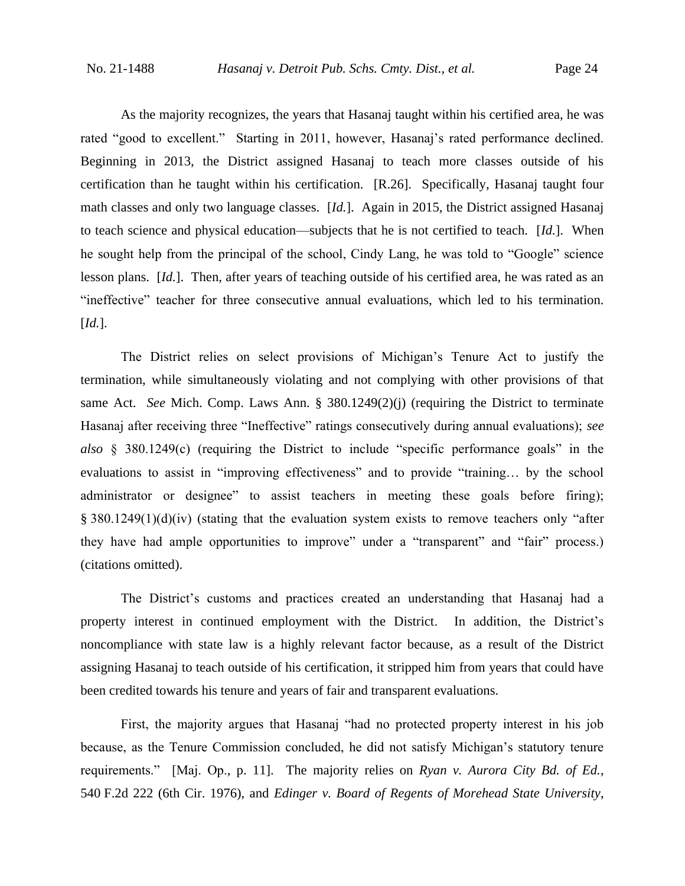As the majority recognizes, the years that Hasanaj taught within his certified area, he was rated "good to excellent." Starting in 2011, however, Hasanaj's rated performance declined. Beginning in 2013, the District assigned Hasanaj to teach more classes outside of his certification than he taught within his certification. [R.26]. Specifically, Hasanaj taught four math classes and only two language classes. [*Id.*]. Again in 2015, the District assigned Hasanaj to teach science and physical education—subjects that he is not certified to teach. [*Id.*]. When he sought help from the principal of the school, Cindy Lang, he was told to "Google" science lesson plans. [*Id.*]. Then, after years of teaching outside of his certified area, he was rated as an "ineffective" teacher for three consecutive annual evaluations, which led to his termination. [*Id.*].

The District relies on select provisions of Michigan's Tenure Act to justify the termination, while simultaneously violating and not complying with other provisions of that same Act. *See* Mich. Comp. Laws Ann. § 380.1249(2)(j) (requiring the District to terminate Hasanaj after receiving three "Ineffective" ratings consecutively during annual evaluations); *see also* § 380.1249(c) (requiring the District to include "specific performance goals" in the evaluations to assist in "improving effectiveness" and to provide "training… by the school administrator or designee" to assist teachers in meeting these goals before firing); § 380.1249(1)(d)(iv) (stating that the evaluation system exists to remove teachers only "after they have had ample opportunities to improve" under a "transparent" and "fair" process.) (citations omitted).

The District's customs and practices created an understanding that Hasanaj had a property interest in continued employment with the District. In addition, the District's noncompliance with state law is a highly relevant factor because, as a result of the District assigning Hasanaj to teach outside of his certification, it stripped him from years that could have been credited towards his tenure and years of fair and transparent evaluations.

First, the majority argues that Hasanaj "had no protected property interest in his job because, as the Tenure Commission concluded, he did not satisfy Michigan's statutory tenure requirements." [Maj. Op., p. 11]. The majority relies on *Ryan v. Aurora City Bd. of Ed.*, 540 F.2d 222 (6th Cir. 1976), and *Edinger v. Board of Regents of Morehead State University*,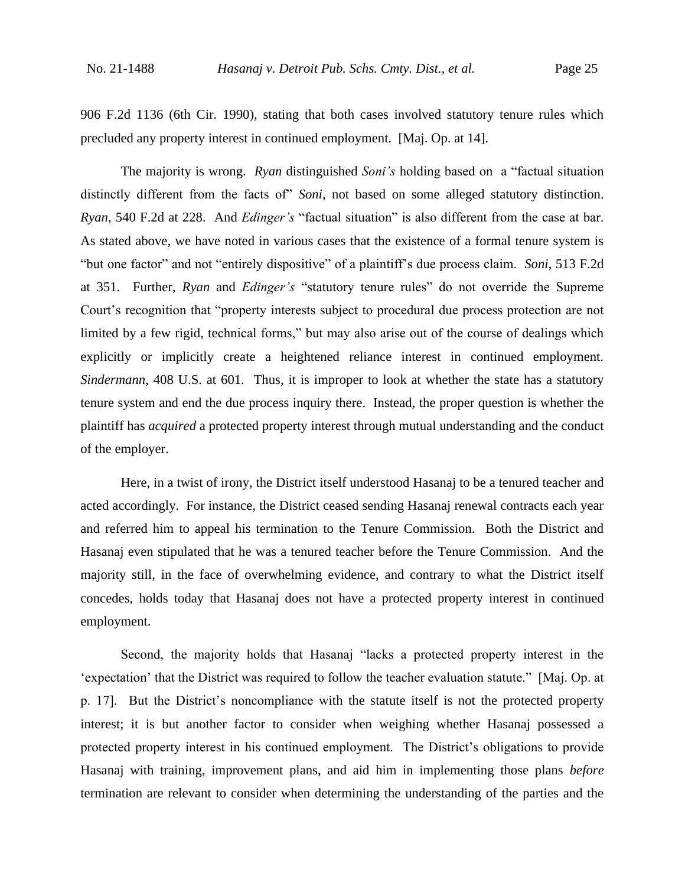906 F.2d 1136 (6th Cir. 1990), stating that both cases involved statutory tenure rules which precluded any property interest in continued employment. [Maj. Op. at 14].

The majority is wrong. *Ryan* distinguished *Soni's* holding based on a "factual situation distinctly different from the facts of" *Soni*, not based on some alleged statutory distinction. *Ryan*, 540 F.2d at 228. And *Edinger's* "factual situation" is also different from the case at bar. As stated above, we have noted in various cases that the existence of a formal tenure system is "but one factor" and not "entirely dispositive" of a plaintiff's due process claim. *Soni*, 513 F.2d at 351. Further, *Ryan* and *Edinger's* "statutory tenure rules" do not override the Supreme Court's recognition that "property interests subject to procedural due process protection are not limited by a few rigid, technical forms," but may also arise out of the course of dealings which explicitly or implicitly create a heightened reliance interest in continued employment. *Sindermann*, 408 U.S. at 601. Thus, it is improper to look at whether the state has a statutory tenure system and end the due process inquiry there. Instead, the proper question is whether the plaintiff has *acquired* a protected property interest through mutual understanding and the conduct of the employer.

Here, in a twist of irony, the District itself understood Hasanaj to be a tenured teacher and acted accordingly. For instance, the District ceased sending Hasanaj renewal contracts each year and referred him to appeal his termination to the Tenure Commission. Both the District and Hasanaj even stipulated that he was a tenured teacher before the Tenure Commission. And the majority still, in the face of overwhelming evidence, and contrary to what the District itself concedes, holds today that Hasanaj does not have a protected property interest in continued employment.

Second, the majority holds that Hasanaj "lacks a protected property interest in the 'expectation' that the District was required to follow the teacher evaluation statute." [Maj. Op. at p. 17]. But the District's noncompliance with the statute itself is not the protected property interest; it is but another factor to consider when weighing whether Hasanaj possessed a protected property interest in his continued employment. The District's obligations to provide Hasanaj with training, improvement plans, and aid him in implementing those plans *before* termination are relevant to consider when determining the understanding of the parties and the